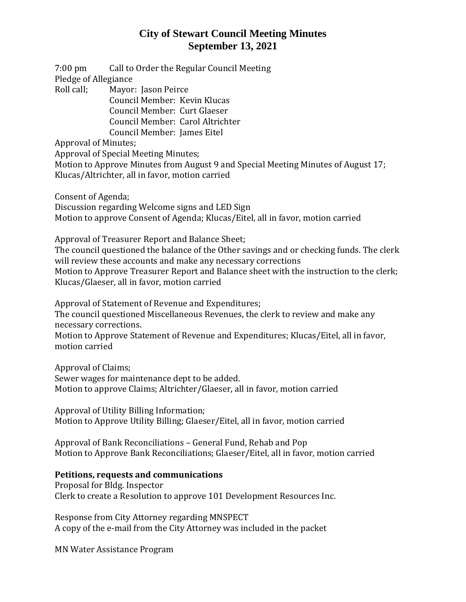# **City of Stewart Council Meeting Minutes September 13, 2021**

7:00 pm Call to Order the Regular Council Meeting Pledge of Allegiance

Roll call; Mayor: Jason Peirce

Council Member: Kevin Klucas Council Member: Curt Glaeser Council Member: Carol Altrichter Council Member: James Eitel

Approval of Minutes;

Approval of Special Meeting Minutes;

Motion to Approve Minutes from August 9 and Special Meeting Minutes of August 17; Klucas/Altrichter, all in favor, motion carried

Consent of Agenda;

Discussion regarding Welcome signs and LED Sign Motion to approve Consent of Agenda; Klucas/Eitel, all in favor, motion carried

Approval of Treasurer Report and Balance Sheet;

The council questioned the balance of the Other savings and or checking funds. The clerk will review these accounts and make any necessary corrections Motion to Approve Treasurer Report and Balance sheet with the instruction to the clerk;

Klucas/Glaeser, all in favor, motion carried

Approval of Statement of Revenue and Expenditures; The council questioned Miscellaneous Revenues, the clerk to review and make any necessary corrections.

Motion to Approve Statement of Revenue and Expenditures; Klucas/Eitel, all in favor, motion carried

Approval of Claims; Sewer wages for maintenance dept to be added. Motion to approve Claims; Altrichter/Glaeser, all in favor, motion carried

Approval of Utility Billing Information; Motion to Approve Utility Billing; Glaeser/Eitel, all in favor, motion carried

Approval of Bank Reconciliations – General Fund, Rehab and Pop Motion to Approve Bank Reconciliations; Glaeser/Eitel, all in favor, motion carried

### **Petitions, requests and communications**

Proposal for Bldg. Inspector Clerk to create a Resolution to approve 101 Development Resources Inc.

Response from City Attorney regarding MNSPECT A copy of the e-mail from the City Attorney was included in the packet

MN Water Assistance Program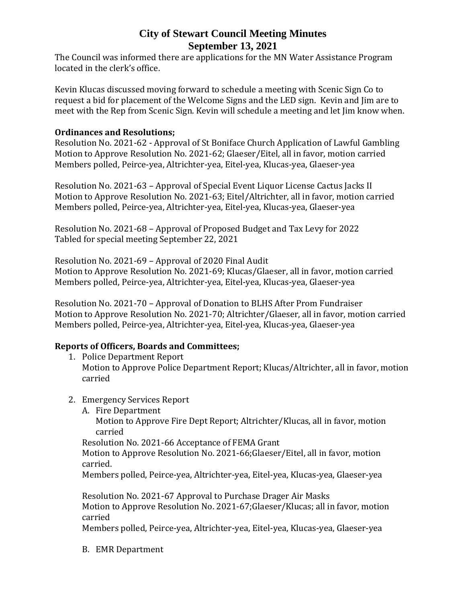# **City of Stewart Council Meeting Minutes September 13, 2021**

The Council was informed there are applications for the MN Water Assistance Program located in the clerk's office.

Kevin Klucas discussed moving forward to schedule a meeting with Scenic Sign Co to request a bid for placement of the Welcome Signs and the LED sign. Kevin and Jim are to meet with the Rep from Scenic Sign. Kevin will schedule a meeting and let Jim know when.

#### **Ordinances and Resolutions;**

Resolution No. 2021-62 - Approval of St Boniface Church Application of Lawful Gambling Motion to Approve Resolution No. 2021-62; Glaeser/Eitel, all in favor, motion carried Members polled, Peirce-yea, Altrichter-yea, Eitel-yea, Klucas-yea, Glaeser-yea

Resolution No. 2021-63 – Approval of Special Event Liquor License Cactus Jacks II Motion to Approve Resolution No. 2021-63; Eitel/Altrichter, all in favor, motion carried Members polled, Peirce-yea, Altrichter-yea, Eitel-yea, Klucas-yea, Glaeser-yea

Resolution No. 2021-68 – Approval of Proposed Budget and Tax Levy for 2022 Tabled for special meeting September 22, 2021

Resolution No. 2021-69 – Approval of 2020 Final Audit

Motion to Approve Resolution No. 2021-69; Klucas/Glaeser, all in favor, motion carried Members polled, Peirce-yea, Altrichter-yea, Eitel-yea, Klucas-yea, Glaeser-yea

Resolution No. 2021-70 – Approval of Donation to BLHS After Prom Fundraiser Motion to Approve Resolution No. 2021-70; Altrichter/Glaeser, all in favor, motion carried Members polled, Peirce-yea, Altrichter-yea, Eitel-yea, Klucas-yea, Glaeser-yea

### **Reports of Officers, Boards and Committees;**

- 1. Police Department Report Motion to Approve Police Department Report; Klucas/Altrichter, all in favor, motion carried
- 2. Emergency Services Report
	- A. Fire Department

Motion to Approve Fire Dept Report; Altrichter/Klucas, all in favor, motion carried

Resolution No. 2021-66 Acceptance of FEMA Grant

Motion to Approve Resolution No. 2021-66;Glaeser/Eitel, all in favor, motion carried.

Members polled, Peirce-yea, Altrichter-yea, Eitel-yea, Klucas-yea, Glaeser-yea

Resolution No. 2021-67 Approval to Purchase Drager Air Masks Motion to Approve Resolution No. 2021-67;Glaeser/Klucas; all in favor, motion carried

Members polled, Peirce-yea, Altrichter-yea, Eitel-yea, Klucas-yea, Glaeser-yea

B. EMR Department